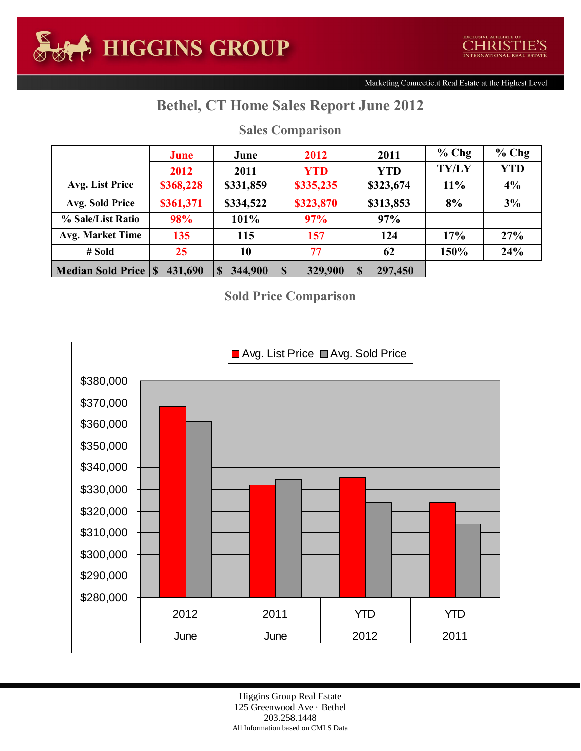Marketing Connecticut Real Estate at the Highest Level

## **Bethel, CT Home Sales Report June 2012**

|                            | June      | June                | 2012<br>2011 |                      | $%$ Chg      | $%$ Chg    |
|----------------------------|-----------|---------------------|--------------|----------------------|--------------|------------|
|                            | 2012      | 2011                | <b>YTD</b>   | <b>YTD</b>           | <b>TY/LY</b> | <b>YTD</b> |
| Avg. List Price            | \$368,228 | \$331,859           | \$335,235    | \$323,674            | 11%          | 4%         |
| Avg. Sold Price            | \$361,371 | \$334,522           | \$323,870    | \$313,853            | 8%           | 3%         |
| % Sale/List Ratio          | 98%       | 101%                | 97%          | 97%                  |              |            |
| <b>Avg. Market Time</b>    | 135       | 115                 | 157          | 124                  | 17%          | 27%        |
| # Sold                     | 25        | 10                  | 77           | 62                   | 150%         | 24%        |
| <b>Median Sold Price S</b> | 431,690   | 344,900<br><b>S</b> | 329,900<br>S | 297,450<br>$\vert s$ |              |            |

## **Sales Comparison**

**Sold Price Comparison**



Higgins Group Real Estate 125 Greenwood Ave · Bethel 203.258.1448 All Information based on CMLS Data